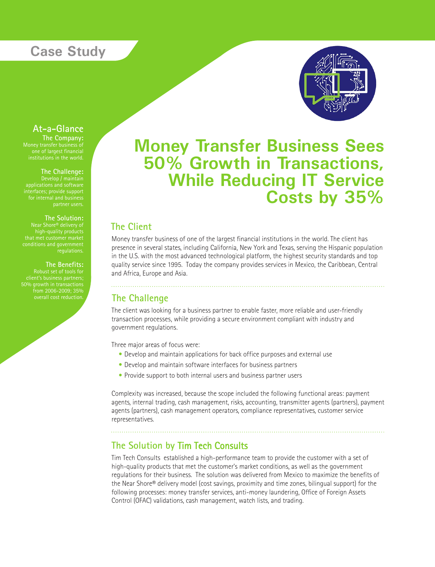# **Case Study**



## **At-a-Glance**

one or largest financial<br>institutions in the world. **The Company:**

#### **The Challenge:**

Develop / maintain for internal and business applications and software

#### **The Solution:**

**The Solution:** that met customer market

#### **The Benefits:**

test of tools for nt's business partners; Robust set of tools for from 2006-2009; 3 overall cost reduction.

# **Money Transfer Business Sees 50% Growth in Transactions, While Reducing IT Service Costs by 35%**

### **The Client**

Money transfer business of one of the largest financial institutions in the world. The client has presence in several states, including California, New York and Texas, serving the Hispanic population in the U.S. with the most advanced technological platform, the highest security standards and top quality service since 1995. Today the company provides services in Mexico, the Caribbean, Central and Africa, Europe and Asia.

### **The Challenge**

The client was looking for a business partner to enable faster, more reliable and user-friendly transaction processes, while providing a secure environment compliant with industry and government regulations.

Three major areas of focus were:

- Develop and maintain applications for back office purposes and external use
- Develop and maintain software interfaces for business partners
- Provide support to both internal users and business partner users

Complexity was increased, because the scope included the following functional areas: payment agents, internal trading, cash management, risks, accounting, transmitter agents (partners), payment agents (partners), cash management operators, compliance representatives, customer service representatives.

# **The Solution by** Tim Tech Consults

Tim Tech Consults established a high-performance team to provide the customer with a set of high-quality products that met the customer's market conditions, as well as the government regulations for their business. The solution was delivered from Mexico to maximize the benefits of the Near Shore® delivery model (cost savings, proximity and time zones, bilingual support) for the following processes: money transfer services, anti-money laundering, Office of Foreign Assets Control (OFAC) validations, cash management, watch lists, and trading.